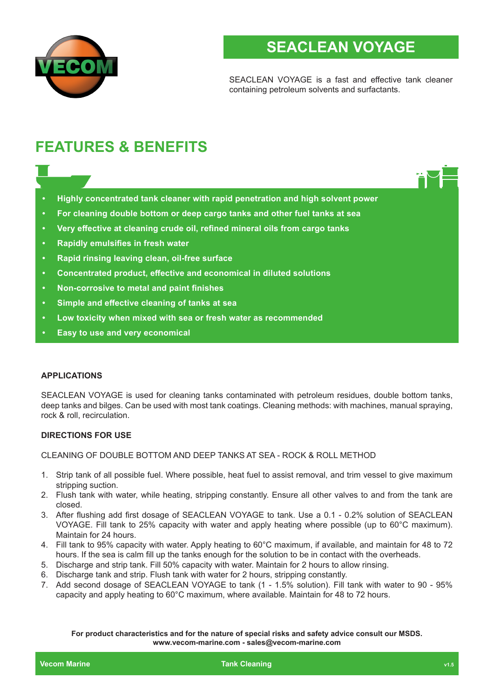

## **SEACLEAN VOYAGE**

SEACLEAN VOYAGE is a fast and effective tank cleaner containing petroleum solvents and surfactants.

# **FEATURES & BENEFITS**

- **• Highly concentrated tank cleaner with rapid penetration and high solvent power**
- **• For cleaning double bottom or deep cargo tanks and other fuel tanks at sea**
- **• Very effective at cleaning crude oil, refined mineral oils from cargo tanks**
- **• Rapidly emulsifies in fresh water**
- **• Rapid rinsing leaving clean, oil-free surface**
- **• Concentrated product, effective and economical in diluted solutions**
- **• Non-corrosive to metal and paint finishes**
- **• Simple and effective cleaning of tanks at sea**
- **• Low toxicity when mixed with sea or fresh water as recommended**
- **• Easy to use and very economical**

#### **APPLICATIONS**

SEACLEAN VOYAGE is used for cleaning tanks contaminated with petroleum residues, double bottom tanks, deep tanks and bilges. Can be used with most tank coatings. Cleaning methods: with machines, manual spraying, rock & roll, recirculation.

## **DIRECTIONS FOR USE**

CLEANING OF DOUBLE BOTTOM AND DEEP TANKS AT SEA - ROCK & ROLL METHOD

- 1. Strip tank of all possible fuel. Where possible, heat fuel to assist removal, and trim vessel to give maximum stripping suction.
- 2. Flush tank with water, while heating, stripping constantly. Ensure all other valves to and from the tank are closed.
- 3. After flushing add first dosage of SEACLEAN VOYAGE to tank. Use a 0.1 0.2% solution of SEACLEAN VOYAGE. Fill tank to 25% capacity with water and apply heating where possible (up to 60°C maximum). Maintain for 24 hours.
- 4. Fill tank to 95% capacity with water. Apply heating to 60°C maximum, if available, and maintain for 48 to 72 hours. If the sea is calm fill up the tanks enough for the solution to be in contact with the overheads.
- 5. Discharge and strip tank. Fill 50% capacity with water. Maintain for 2 hours to allow rinsing.
- 6. Discharge tank and strip. Flush tank with water for 2 hours, stripping constantly.
- 7. Add second dosage of SEACLEAN VOYAGE to tank (1 1.5% solution). Fill tank with water to 90 95% capacity and apply heating to 60°C maximum, where available. Maintain for 48 to 72 hours.

**For product characteristics and for the nature of special risks and safety advice consult our MSDS. www.vecom-marine.com - sales@vecom-marine.com**